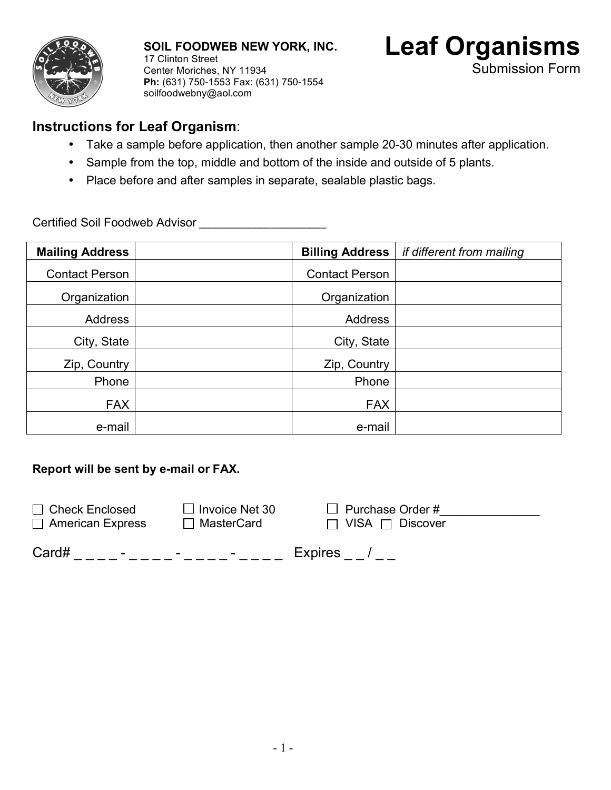

**SOIL FOODWEB NEW YORK, INC.** 17 Clinton Street Center Moriches, NY 11934 **Ph:** (631) 750-1553 Fax: (631) 750-1554 soilfoodwebny@aol.com



## **Instructions for Leaf Organism**:

- Take a sample before application, then another sample 20-30 minutes after application.
- Sample from the top, middle and bottom of the inside and outside of 5 plants.
- Place before and after samples in separate, sealable plastic bags.

Certified Soil Foodweb Advisor \_\_\_\_\_\_\_\_\_\_\_\_\_\_\_\_\_\_\_\_\_\_\_

| <b>Mailing Address</b> | <b>Billing Address</b> | if different from mailing |
|------------------------|------------------------|---------------------------|
| <b>Contact Person</b>  | <b>Contact Person</b>  |                           |
| Organization           | Organization           |                           |
| Address                | Address                |                           |
| City, State            | City, State            |                           |
| Zip, Country           | Zip, Country           |                           |
| Phone                  | Phone                  |                           |
| <b>FAX</b>             | <b>FAX</b>             |                           |
| e-mail                 | e-mail                 |                           |

## **Report will be sent by e-mail or FAX.**

| $\Box$ Check Enclosed   | $\Box$ Invoice Net 30 | $\Box$ Purchase Order #     |
|-------------------------|-----------------------|-----------------------------|
| $\Box$ American Express | $\Box$ MasterCard     | $\Box$ VISA $\Box$ Discover |

| Card# | - |  | <b>Expires</b> |
|-------|---|--|----------------|
|-------|---|--|----------------|